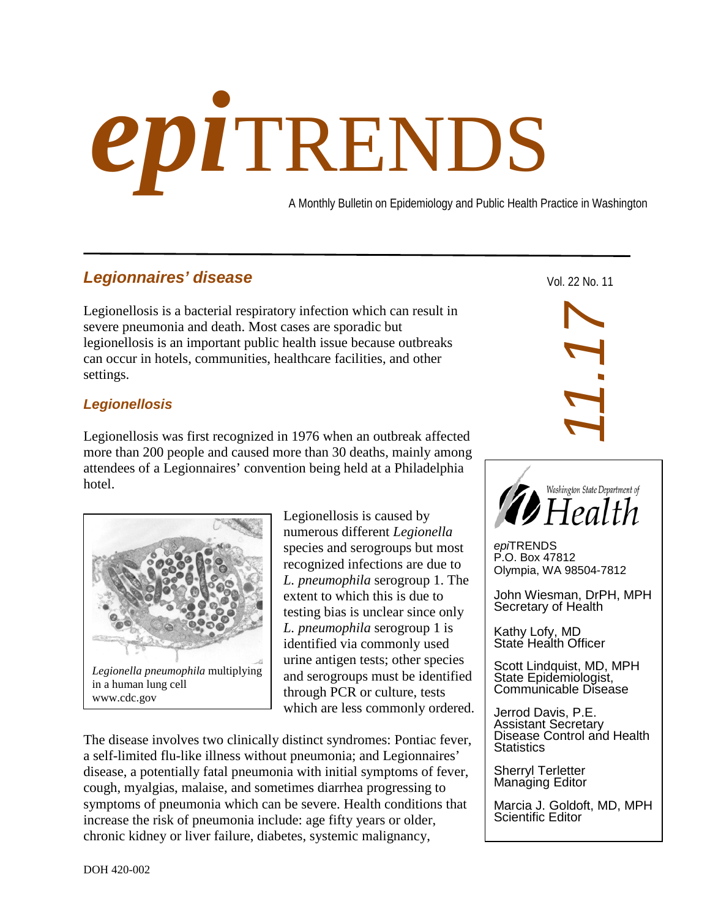# *epi*TRENDS

A Monthly Bulletin on Epidemiology and Public Health Practice in Washington

# *Legionnaires' disease*

Legionellosis is a bacterial respiratory infection which can result in severe pneumonia and death. Most cases are sporadic but legionellosis is an important public health issue because outbreaks can occur in hotels, communities, healthcare facilities, and other settings.

# *Legionellosis*

Legionellosis was first recognized in 1976 when an outbreak affected more than 200 people and caused more than 30 deaths, mainly among attendees of a Legionnaires' convention being held at a Philadelphia hotel.



Legionellosis is caused by numerous different *Legionella* species and serogroups but most recognized infections are due to *L. pneumophila* serogroup 1. The extent to which this is due to testing bias is unclear since only *L. pneumophila* serogroup 1 is identified via commonly used urine antigen tests; other species and serogroups must be identified through PCR or culture, tests which are less commonly ordered.

The disease involves two clinically distinct syndromes: Pontiac fever, a self-limited flu-like illness without pneumonia; and Legionnaires' disease, a potentially fatal pneumonia with initial symptoms of fever, cough, myalgias, malaise, and sometimes diarrhea progressing to symptoms of pneumonia which can be severe. Health conditions that increase the risk of pneumonia include: age fifty years or older, chronic kidney or liver failure, diabetes, systemic malignancy,

Vol. 22 No. 11



*epi*TRENDS P.O. Box 47812 Olympia, WA 98504-7812

John Wiesman, DrPH, MPH Secretary of Health

Kathy Lofy, MD State Health Officer

Scott Lindquist, MD, MPH State Epidemiologist, Communicable Disease

Jerrod Davis, P.E. Assistant Secretary Disease Control and Health **Statistics** 

Sherryl Terletter Managing Editor

Marcia J. Goldoft, MD, MPH Scientific Editor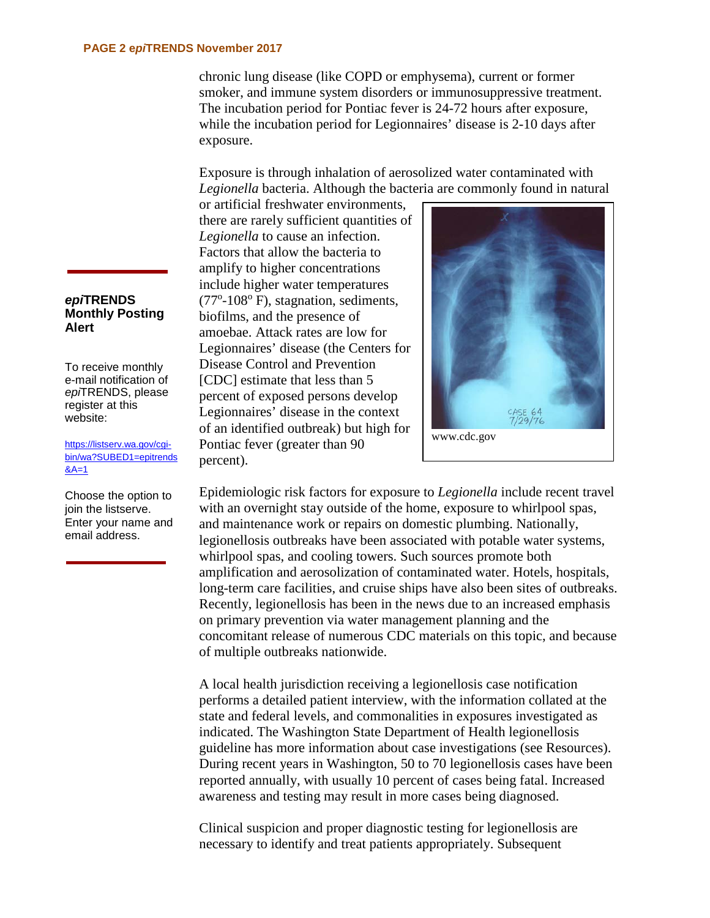chronic lung disease (like COPD or emphysema), current or former smoker, and immune system disorders or immunosuppressive treatment. The incubation period for Pontiac fever is 24-72 hours after exposure, while the incubation period for Legionnaires' disease is 2-10 days after exposure.

Exposure is through inhalation of aerosolized water contaminated with *Legionella* bacteria. Although the bacteria are commonly found in natural

or artificial freshwater environments, there are rarely sufficient quantities of *Legionella* to cause an infection. Factors that allow the bacteria to amplify to higher concentrations include higher water temperatures (77°-108° F), stagnation, sediments, biofilms, and the presence of amoebae. Attack rates are low for Legionnaires' disease (the Centers for Disease Control and Prevention [CDC] estimate that less than 5 percent of exposed persons develop Legionnaires' disease in the context of an identified outbreak) but high for Pontiac fever (greater than 90 percent).



Epidemiologic risk factors for exposure to *Legionella* include recent travel with an overnight stay outside of the home, exposure to whirlpool spas, and maintenance work or repairs on domestic plumbing. Nationally, legionellosis outbreaks have been associated with potable water systems, whirlpool spas, and cooling towers. Such sources promote both amplification and aerosolization of contaminated water. Hotels, hospitals, long-term care facilities, and cruise ships have also been sites of outbreaks. Recently, legionellosis has been in the news due to an increased emphasis on primary prevention via water management planning and the concomitant release of numerous CDC materials on this topic, and because of multiple outbreaks nationwide.

A local health jurisdiction receiving a legionellosis case notification performs a detailed patient interview, with the information collated at the state and federal levels, and commonalities in exposures investigated as indicated. The Washington State Department of Health legionellosis guideline has more information about case investigations (see Resources). During recent years in Washington, 50 to 70 legionellosis cases have been reported annually, with usually 10 percent of cases being fatal. Increased awareness and testing may result in more cases being diagnosed.

Clinical suspicion and proper diagnostic testing for legionellosis are necessary to identify and treat patients appropriately. Subsequent

### *epi***TRENDS Monthly Posting Alert**

To receive monthly e-mail notification of *epi*TRENDS, please register at this website:

[https://listserv.wa.gov/cgi](https://listserv.wa.gov/cgi-bin/wa?SUBED1=epitrends&A=1)[bin/wa?SUBED1=epitrends](https://listserv.wa.gov/cgi-bin/wa?SUBED1=epitrends&A=1)  $8A=1$ 

Choose the option to join the listserve. Enter your name and email address.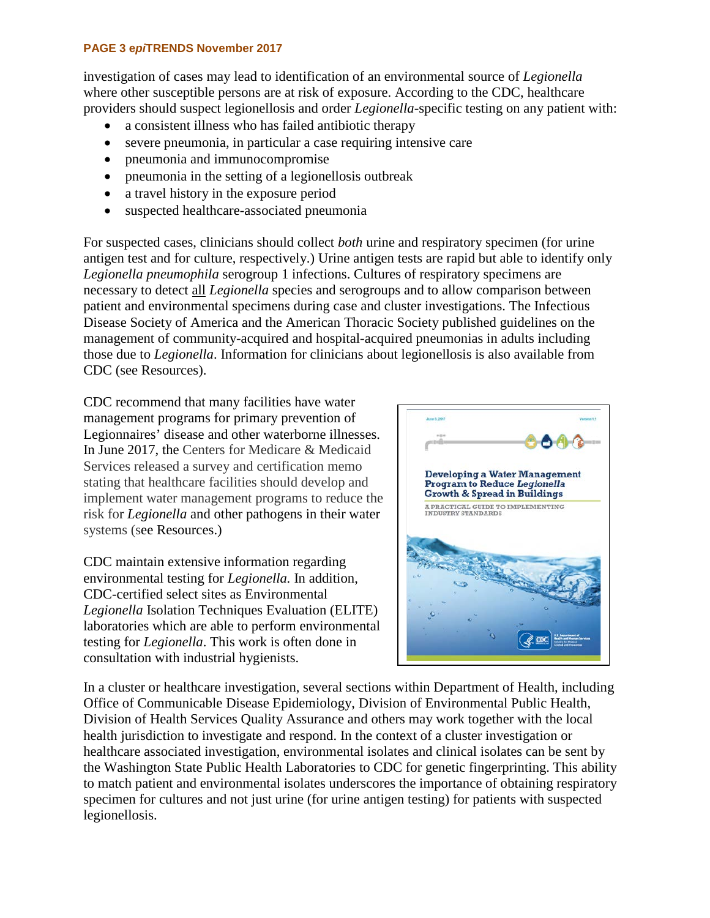### **PAGE 3 e***pi***TRENDS November 2017**

investigation of cases may lead to identification of an environmental source of *Legionella*  where other susceptible persons are at risk of exposure. According to the CDC, healthcare providers should suspect legionellosis and order *Legionella*-specific testing on any patient with:

- a consistent illness who has failed antibiotic therapy
- severe pneumonia, in particular a case requiring intensive care
- pneumonia and immunocompromise
- pneumonia in the setting of a legionellosis outbreak
- a travel history in the exposure period
- suspected healthcare-associated pneumonia

For suspected cases, clinicians should collect *both* urine and respiratory specimen (for urine antigen test and for culture, respectively.) Urine antigen tests are rapid but able to identify only *Legionella pneumophila* serogroup 1 infections. Cultures of respiratory specimens are necessary to detect all *Legionella* species and serogroups and to allow comparison between patient and environmental specimens during case and cluster investigations. The Infectious Disease Society of America and the American Thoracic Society published guidelines on the management of community-acquired and hospital-acquired pneumonias in adults including those due to *Legionella*. Information for clinicians about legionellosis is also available from CDC (see Resources).

CDC recommend that many facilities have water management programs for primary prevention of Legionnaires' disease and other waterborne illnesses. In June 2017, the Centers for Medicare & Medicaid Services released a survey and certification memo stating that healthcare facilities should develop and implement water management programs to reduce the risk for *Legionella* and other pathogens in their water systems (see Resources.)

CDC maintain extensive information regarding environmental testing for *Legionella.* In addition, CDC-certified select sites as Environmental *Legionella* Isolation Techniques Evaluation (ELITE) laboratories which are able to perform environmental testing for *Legionella*. This work is often done in consultation with industrial hygienists.



In a cluster or healthcare investigation, several sections within Department of Health, including Office of Communicable Disease Epidemiology, Division of Environmental Public Health, Division of Health Services Quality Assurance and others may work together with the local health jurisdiction to investigate and respond. In the context of a cluster investigation or healthcare associated investigation, environmental isolates and clinical isolates can be sent by the Washington State Public Health Laboratories to CDC for genetic fingerprinting. This ability to match patient and environmental isolates underscores the importance of obtaining respiratory specimen for cultures and not just urine (for urine antigen testing) for patients with suspected legionellosis.